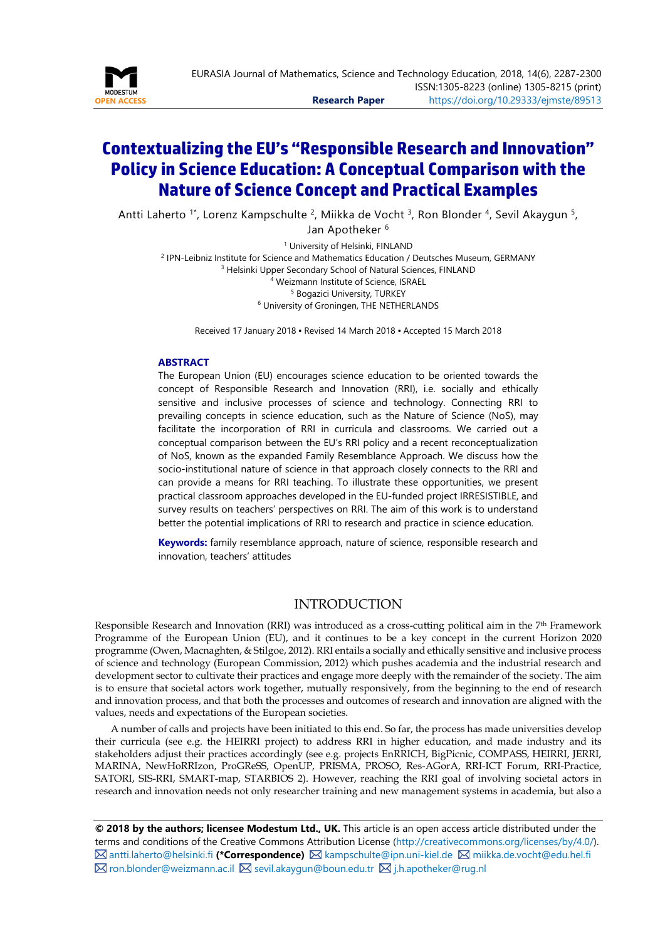

# **Contextualizing the EU's "Responsible Research and Innovation" Policy in Science Education: A Conceptual Comparison with the Nature of Science Concept and Practical Examples**

Antti Laherto <sup>1\*</sup>, Lorenz Kampschulte <sup>2</sup>, Miikka de Vocht <sup>3</sup>, Ron Blonder <sup>4</sup>, Sevil Akaygun <sup>5</sup>, Jan Apotheker <sup>6</sup>

<sup>1</sup> University of Helsinki, FINLAND IPN-Leibniz Institute for Science and Mathematics Education / Deutsches Museum, GERMANY <sup>3</sup> Helsinki Upper Secondary School of Natural Sciences, FINLAND Weizmann Institute of Science, ISRAEL Bogazici University, TURKEY University of Groningen, THE NETHERLANDS

Received 17 January 2018 ▪ Revised 14 March 2018 ▪ Accepted 15 March 2018

#### <span id="page-0-0"></span>**ABSTRACT**

The European Union (EU) encourages science education to be oriented towards the concept of Responsible Research and Innovation (RRI), i.e. socially and ethically sensitive and inclusive processes of science and technology. Connecting RRI to prevailing concepts in science education, such as the Nature of Science (NoS), may facilitate the incorporation of RRI in curricula and classrooms. We carried out a conceptual comparison between the EU's RRI policy and a recent reconceptualization of NoS, known as the expanded Family Resemblance Approach. We discuss how the socio-institutional nature of science in that approach closely connects to the RRI and can provide a means for RRI teaching. To illustrate these opportunities, we present practical classroom approaches developed in the EU-funded project IRRESISTIBLE, and survey results on teachers' perspectives on RRI. The aim of this work is to understand better the potential implications of RRI to research and practice in science education.

**Keywords:** family resemblance approach, nature of science, responsible research and innovation, teachers' attitudes

## INTRODUCTION

Responsible Research and Innovation (RRI) was introduced as a cross-cutting political aim in the 7th Framework Programme of the European Union (EU), and it continues to be a key concept in the current Horizon 2020 programme (Owen, Macnaghten, & Stilgoe, 2012). RRI entails a socially and ethically sensitive and inclusive process of science and technology (European Commission, 2012) which pushes academia and the industrial research and development sector to cultivate their practices and engage more deeply with the remainder of the society. The aim is to ensure that societal actors work together, mutually responsively, from the beginning to the end of research and innovation process, and that both the processes and outcomes of research and innovation are aligned with the values, needs and expectations of the European societies.

A number of calls and projects have been initiated to this end. So far, the process has made universities develop their curricula (see e.g. the HEIRRI project) to address RRI in higher education, and made industry and its stakeholders adjust their practices accordingly (see e.g. projects EnRRICH, BigPicnic, COMPASS, HEIRRI, JERRI, MARINA, NewHoRRIzon, ProGReSS, OpenUP, PRISMA, PROSO, Res-AGorA, RRI-ICT Forum, RRI-Practice, SATORI, SIS-RRI, SMART-map, STARBIOS 2). However, reaching the RRI goal of involving societal actors in research and innovation needs not only researcher training and new management systems in academia, but also a

**© 2018 by the authors; licensee Modestum Ltd., UK.** This article is an open access article distributed under the terms and conditions of the Creative Commons Attribution License [\(http://creativecommons.org/licenses/by/4.0/\)](http://creativecommons.org/licenses/by/4.0/).  $\boxtimes$  [antti.laherto@helsinki.fi](mailto:antti.laherto@helsinki.fi) (\*Correspondence)  $\boxtimes$  [kampschulte@ipn.uni-kiel.de](mailto:kampschulte@ipn.uni-kiel.de)  $\boxtimes$  [miikka.de.vocht@edu.hel.fi](mailto:miikka.de.vocht@edu.hel.fi) **⊠** [ron.blonder@weizmann.ac.il](mailto:ron.blonder@weizmann.ac.il) **⊠** [sevil.akaygun@boun.edu.tr](mailto:sevil.akaygun@boun.edu.tr) **⊠** [j.h.apotheker@rug.nl](mailto:j.h.apotheker@rug.nl)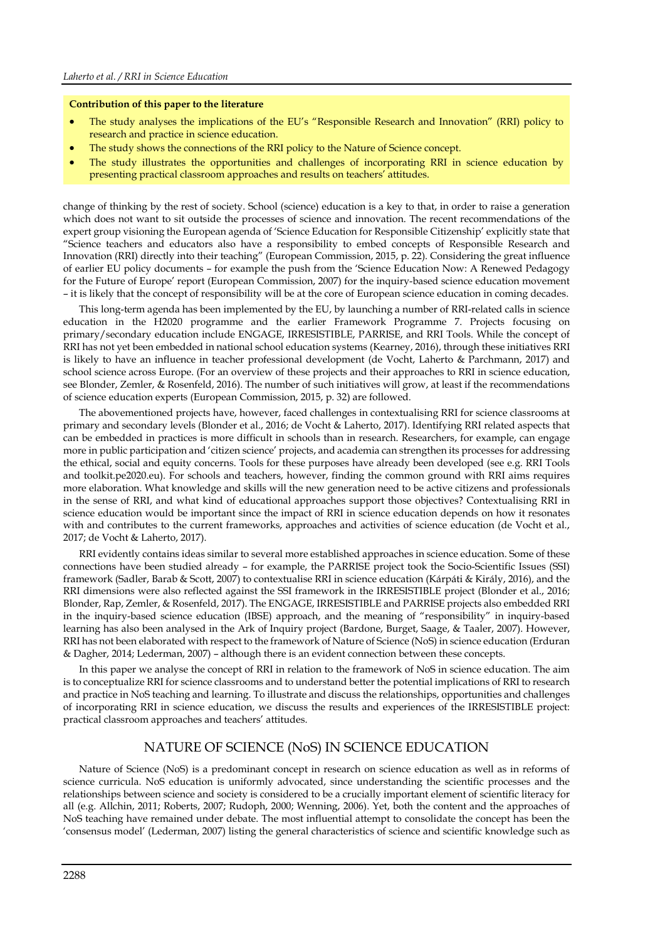#### **Contribution of this paper to the literature**

- The study analyses the implications of the EU's "Responsible Research and Innovation" (RRI) policy to research and practice in science education.
- The study shows the connections of the RRI policy to the Nature of Science concept.
- The study illustrates the opportunities and challenges of incorporating RRI in science education by presenting practical classroom approaches and results on teachers' attitudes.

change of thinking by the rest of society. School (science) education is a key to that, in order to raise a generation which does not want to sit outside the processes of science and innovation. The recent recommendations of the expert group visioning the European agenda of 'Science Education for Responsible Citizenship' explicitly state that "Science teachers and educators also have a responsibility to embed concepts of Responsible Research and Innovation (RRI) directly into their teaching" (European Commission, 2015, p. 22). Considering the great influence of earlier EU policy documents – for example the push from the 'Science Education Now: A Renewed Pedagogy for the Future of Europe' report (European Commission, 2007) for the inquiry-based science education movement – it is likely that the concept of responsibility will be at the core of European science education in coming decades.

This long-term agenda has been implemented by the EU, by launching a number of RRI-related calls in science education in the H2020 programme and the earlier Framework Programme 7. Projects focusing on primary/secondary education include ENGAGE, IRRESISTIBLE, PARRISE, and RRI Tools. While the concept of RRI has not yet been embedded in national school education systems (Kearney, 2016), through these initiatives RRI is likely to have an influence in teacher professional development (de Vocht, Laherto & Parchmann, 2017) and school science across Europe. (For an overview of these projects and their approaches to RRI in science education, see Blonder, Zemler, & Rosenfeld, 2016). The number of such initiatives will grow, at least if the recommendations of science education experts (European Commission, 2015, p. 32) are followed.

The abovementioned projects have, however, faced challenges in contextualising RRI for science classrooms at primary and secondary levels (Blonder et al., 2016; de Vocht & Laherto, 2017). Identifying RRI related aspects that can be embedded in practices is more difficult in schools than in research. Researchers, for example, can engage more in public participation and 'citizen science' projects, and academia can strengthen its processes for addressing the ethical, social and equity concerns. Tools for these purposes have already been developed (see e.g. RRI Tools and toolkit.pe2020.eu). For schools and teachers, however, finding the common ground with RRI aims requires more elaboration. What knowledge and skills will the new generation need to be active citizens and professionals in the sense of RRI, and what kind of educational approaches support those objectives? Contextualising RRI in science education would be important since the impact of RRI in science education depends on how it resonates with and contributes to the current frameworks, approaches and activities of science education (de Vocht et al., 2017; de Vocht & Laherto, 2017).

RRI evidently contains ideas similar to several more established approaches in science education. Some of these connections have been studied already – for example, the PARRISE project took the Socio-Scientific Issues (SSI) framework (Sadler, Barab & Scott, 2007) to contextualise RRI in science education (Kárpáti & Király, 2016), and the RRI dimensions were also reflected against the SSI framework in the IRRESISTIBLE project (Blonder et al., 2016; Blonder, Rap, Zemler, & Rosenfeld, 2017). The ENGAGE, IRRESISTIBLE and PARRISE projects also embedded RRI in the inquiry-based science education (IBSE) approach, and the meaning of "responsibility" in inquiry-based learning has also been analysed in the Ark of Inquiry project (Bardone, Burget, Saage, & Taaler, 2007). However, RRI has not been elaborated with respect to the framework of Nature of Science (NoS) in science education (Erduran & Dagher, 2014; Lederman, 2007) – although there is an evident connection between these concepts.

In this paper we analyse the concept of RRI in relation to the framework of NoS in science education. The aim is to conceptualize RRI for science classrooms and to understand better the potential implications of RRI to research and practice in NoS teaching and learning. To illustrate and discuss the relationships, opportunities and challenges of incorporating RRI in science education, we discuss the results and experiences of the IRRESISTIBLE project: practical classroom approaches and teachers' attitudes.

## NATURE OF SCIENCE (NoS) IN SCIENCE EDUCATION

Nature of Science (NoS) is a predominant concept in research on science education as well as in reforms of science curricula. NoS education is uniformly advocated, since understanding the scientific processes and the relationships between science and society is considered to be a crucially important element of scientific literacy for all (e.g. Allchin, 2011; Roberts, 2007; Rudoph, 2000; Wenning, 2006). Yet, both the content and the approaches of NoS teaching have remained under debate. The most influential attempt to consolidate the concept has been the 'consensus model' (Lederman, 2007) listing the general characteristics of science and scientific knowledge such as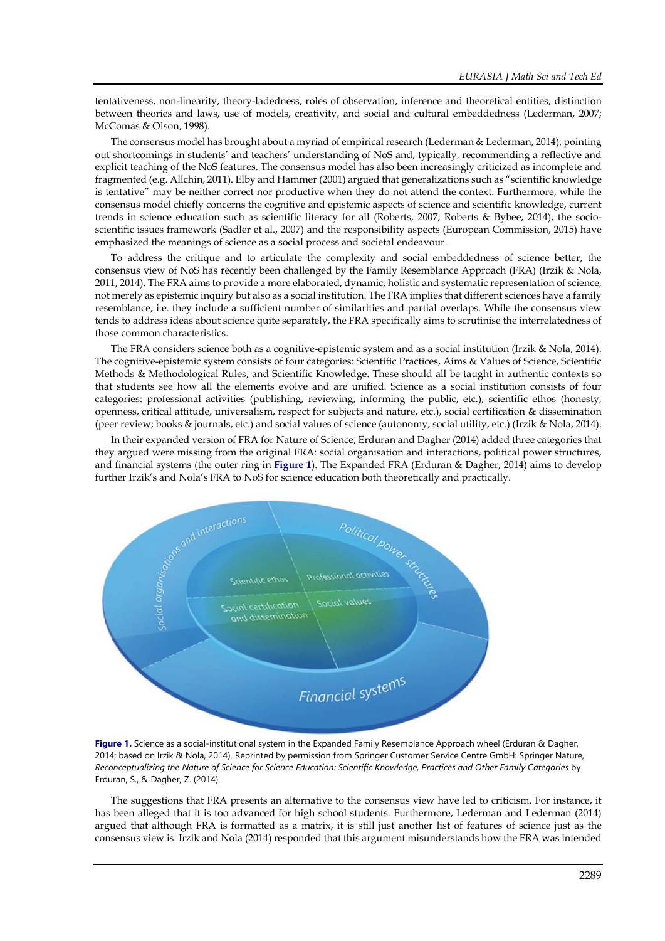tentativeness, non-linearity, theory-ladedness, roles of observation, inference and theoretical entities, distinction between theories and laws, use of models, creativity, and social and cultural embeddedness (Lederman, 2007; McComas & Olson, 1998).

The consensus model has brought about a myriad of empirical research (Lederman & Lederman, 2014), pointing out shortcomings in students' and teachers' understanding of NoS and, typically, recommending a reflective and explicit teaching of the NoS features. The consensus model has also been increasingly criticized as incomplete and fragmented (e.g. Allchin, 2011). Elby and Hammer (2001) argued that generalizations such as "scientific knowledge is tentative" may be neither correct nor productive when they do not attend the context. Furthermore, while the consensus model chiefly concerns the cognitive and epistemic aspects of science and scientific knowledge, current trends in science education such as scientific literacy for all (Roberts, 2007; Roberts & Bybee, 2014), the socioscientific issues framework (Sadler et al., 2007) and the responsibility aspects (European Commission, 2015) have emphasized the meanings of science as a social process and societal endeavour.

To address the critique and to articulate the complexity and social embeddedness of science better, the consensus view of NoS has recently been challenged by the Family Resemblance Approach (FRA) (Irzik & Nola, 2011, 2014). The FRA aims to provide a more elaborated, dynamic, holistic and systematic representation of science, not merely as epistemic inquiry but also as a social institution. The FRA implies that different sciences have a family resemblance, i.e. they include a sufficient number of similarities and partial overlaps. While the consensus view tends to address ideas about science quite separately, the FRA specifically aims to scrutinise the interrelatedness of those common characteristics.

The FRA considers science both as a cognitive-epistemic system and as a social institution (Irzik & Nola, 2014). The cognitive-epistemic system consists of four categories: Scientific Practices, Aims & Values of Science, Scientific Methods & Methodological Rules, and Scientific Knowledge. These should all be taught in authentic contexts so that students see how all the elements evolve and are unified. Science as a social institution consists of four categories: professional activities (publishing, reviewing, informing the public, etc.), scientific ethos (honesty, openness, critical attitude, universalism, respect for subjects and nature, etc.), social certification & dissemination (peer review; books & journals, etc.) and social values of science (autonomy, social utility, etc.) (Irzik & Nola, 2014).

In their expanded version of FRA for Nature of Science, Erduran and Dagher (2014) added three categories that they argued were missing from the original FRA: social organisation and interactions, political power structures, and financial systems (the outer ring in **Figure 1**). The Expanded FRA (Erduran & Dagher, 2014) aims to develop further Irzik's and Nola's FRA to NoS for science education both theoretically and practically.



**Figure 1.** Science as a social-institutional system in the Expanded Family Resemblance Approach wheel (Erduran & Dagher, 2014; based on Irzik & Nola, 2014). Reprinted by permission from Springer Customer Service Centre GmbH: Springer Nature, *Reconceptualizing the Nature of Science for Science Education: Scientific Knowledge, Practices and Other Family Categories* by Erduran, S., & Dagher, Z. (2014)

The suggestions that FRA presents an alternative to the consensus view have led to criticism. For instance, it has been alleged that it is too advanced for high school students. Furthermore, Lederman and Lederman (2014) argued that although FRA is formatted as a matrix, it is still just another list of features of science just as the consensus view is. Irzik and Nola (2014) responded that this argument misunderstands how the FRA was intended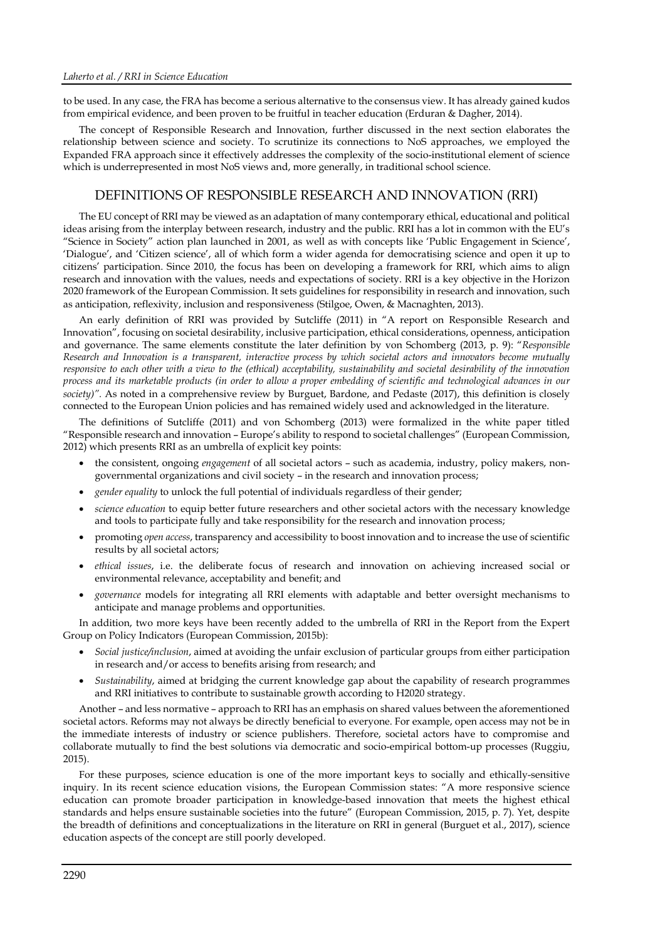to be used. In any case, the FRA has become a serious alternative to the consensus view. It has already gained kudos from empirical evidence, and been proven to be fruitful in teacher education (Erduran & Dagher, 2014).

The concept of Responsible Research and Innovation, further discussed in the next section elaborates the relationship between science and society. To scrutinize its connections to NoS approaches, we employed the Expanded FRA approach since it effectively addresses the complexity of the socio-institutional element of science which is underrepresented in most NoS views and, more generally, in traditional school science.

## DEFINITIONS OF RESPONSIBLE RESEARCH AND INNOVATION (RRI)

The EU concept of RRI may be viewed as an adaptation of many contemporary ethical, educational and political ideas arising from the interplay between research, industry and the public. RRI has a lot in common with the EU's "Science in Society" action plan launched in 2001, as well as with concepts like 'Public Engagement in Science', 'Dialogue', and 'Citizen science', all of which form a wider agenda for democratising science and open it up to citizens' participation. Since 2010, the focus has been on developing a framework for RRI, which aims to align research and innovation with the values, needs and expectations of society. RRI is a key objective in the Horizon 2020 framework of the European Commission. It sets guidelines for responsibility in research and innovation, such as anticipation, reflexivity, inclusion and responsiveness (Stilgoe, Owen, & Macnaghten, 2013).

An early definition of RRI was provided by Sutcliffe (2011) in "A report on Responsible Research and Innovation", focusing on societal desirability, inclusive participation, ethical considerations, openness, anticipation and governance. The same elements constitute the later definition by von Schomberg (2013, p. 9): "*Responsible Research and Innovation is a transparent, interactive process by which societal actors and innovators become mutually responsive to each other with a view to the (ethical) acceptability, sustainability and societal desirability of the innovation process and its marketable products (in order to allow a proper embedding of scientific and technological advances in our society)".* As noted in a comprehensive review by Burguet, Bardone, and Pedaste (2017), this definition is closely connected to the European Union policies and has remained widely used and acknowledged in the literature.

The definitions of Sutcliffe (2011) and von Schomberg (2013) were formalized in the white paper titled "Responsible research and innovation – Europe's ability to respond to societal challenges" (European Commission, 2012) which presents RRI as an umbrella of explicit key points:

- the consistent, ongoing *engagement* of all societal actors such as academia, industry, policy makers, nongovernmental organizations and civil society – in the research and innovation process;
- *gender equality* to unlock the full potential of individuals regardless of their gender;
- *science education* to equip better future researchers and other societal actors with the necessary knowledge and tools to participate fully and take responsibility for the research and innovation process;
- promoting *open access*, transparency and accessibility to boost innovation and to increase the use of scientific results by all societal actors;
- *ethical issues*, i.e. the deliberate focus of research and innovation on achieving increased social or environmental relevance, acceptability and benefit; and
- *governance* models for integrating all RRI elements with adaptable and better oversight mechanisms to anticipate and manage problems and opportunities.

In addition, two more keys have been recently added to the umbrella of RRI in the Report from the Expert Group on Policy Indicators (European Commission, 2015b):

- *Social justice/inclusion*, aimed at avoiding the unfair exclusion of particular groups from either participation in research and/or access to benefits arising from research; and
- *Sustainability*, aimed at bridging the current knowledge gap about the capability of research programmes and RRI initiatives to contribute to sustainable growth according to H2020 strategy.

Another – and less normative – approach to RRI has an emphasis on shared values between the aforementioned societal actors. Reforms may not always be directly beneficial to everyone. For example, open access may not be in the immediate interests of industry or science publishers. Therefore, societal actors have to compromise and collaborate mutually to find the best solutions via democratic and socio-empirical bottom-up processes (Ruggiu, 2015).

For these purposes, science education is one of the more important keys to socially and ethically-sensitive inquiry. In its recent science education visions, the European Commission states: "A more responsive science education can promote broader participation in knowledge-based innovation that meets the highest ethical standards and helps ensure sustainable societies into the future" (European Commission, 2015, p. 7). Yet, despite the breadth of definitions and conceptualizations in the literature on RRI in general (Burguet et al., 2017), science education aspects of the concept are still poorly developed.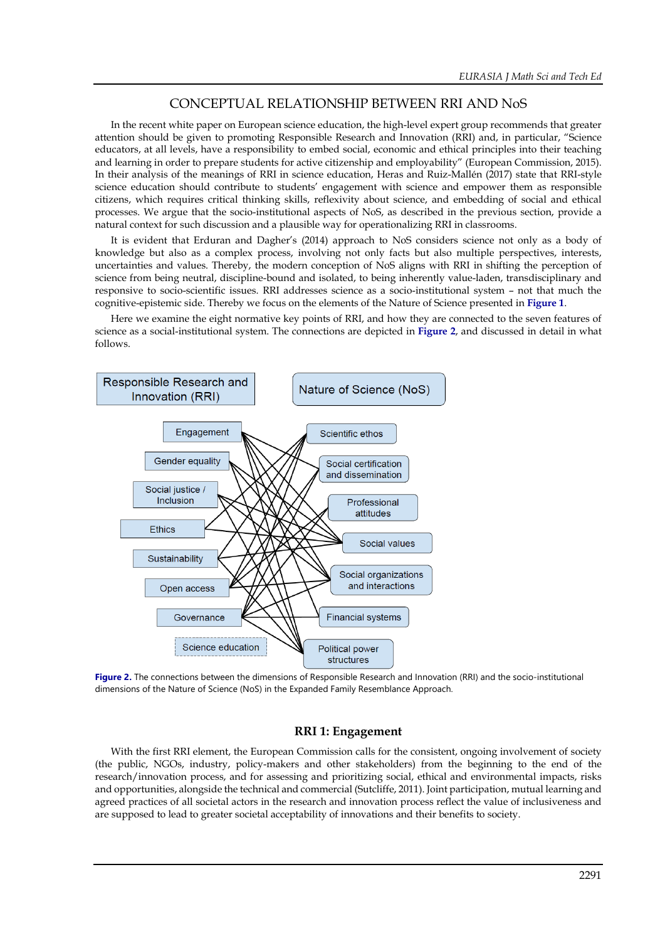## CONCEPTUAL RELATIONSHIP BETWEEN RRI AND NoS

In the recent white paper on European science education, the high-level expert group recommends that greater attention should be given to promoting Responsible Research and Innovation (RRI) and, in particular, "Science educators, at all levels, have a responsibility to embed social, economic and ethical principles into their teaching and learning in order to prepare students for active citizenship and employability" (European Commission, 2015). In their analysis of the meanings of RRI in science education, Heras and Ruiz-Mallén (2017) state that RRI-style science education should contribute to students' engagement with science and empower them as responsible citizens, which requires critical thinking skills, reflexivity about science, and embedding of social and ethical processes. We argue that the socio-institutional aspects of NoS, as described in the previous section, provide a natural context for such discussion and a plausible way for operationalizing RRI in classrooms.

It is evident that Erduran and Dagher's (2014) approach to NoS considers science not only as a body of knowledge but also as a complex process, involving not only facts but also multiple perspectives, interests, uncertainties and values. Thereby, the modern conception of NoS aligns with RRI in shifting the perception of science from being neutral, discipline-bound and isolated, to being inherently value-laden, transdisciplinary and responsive to socio-scientific issues. RRI addresses science as a socio-institutional system – not that much the cognitive-epistemic side. Thereby we focus on the elements of the Nature of Science presented in **Figure 1**.

Here we examine the eight normative key points of RRI, and how they are connected to the seven features of science as a social-institutional system. The connections are depicted in **Figure 2**, and discussed in detail in what follows.



**Figure 2.** The connections between the dimensions of Responsible Research and Innovation (RRI) and the socio-institutional dimensions of the Nature of Science (NoS) in the Expanded Family Resemblance Approach.

## **RRI 1: Engagement**

With the first RRI element, the European Commission calls for the consistent, ongoing involvement of society (the public, NGOs, industry, policy-makers and other stakeholders) from the beginning to the end of the research/innovation process, and for assessing and prioritizing social, ethical and environmental impacts, risks and opportunities, alongside the technical and commercial (Sutcliffe, 2011). Joint participation, mutual learning and agreed practices of all societal actors in the research and innovation process reflect the value of inclusiveness and are supposed to lead to greater societal acceptability of innovations and their benefits to society.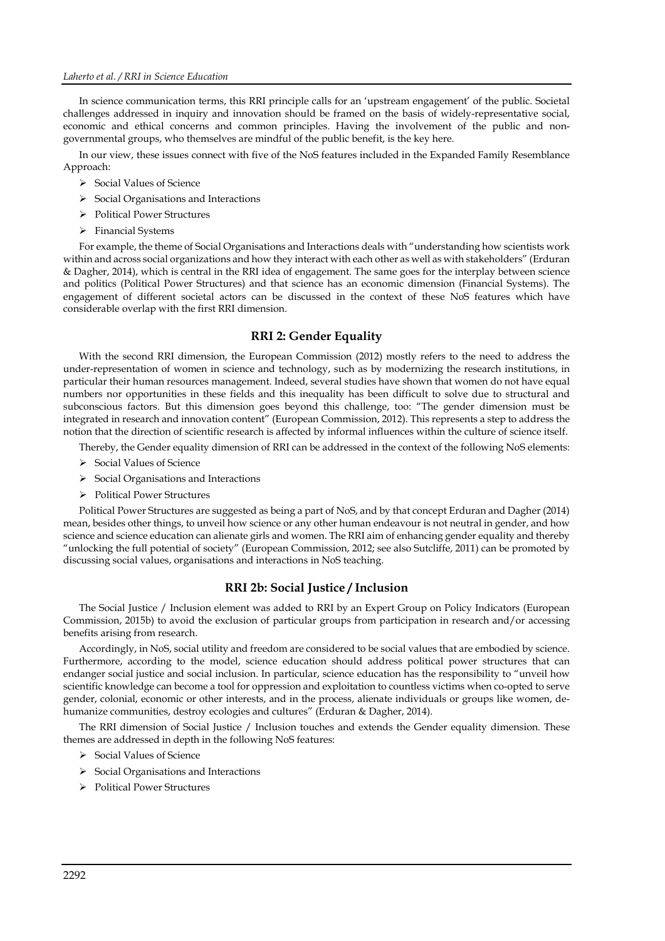In science communication terms, this RRI principle calls for an 'upstream engagement' of the public. Societal challenges addressed in inquiry and innovation should be framed on the basis of widely-representative social, economic and ethical concerns and common principles. Having the involvement of the public and nongovernmental groups, who themselves are mindful of the public benefit, is the key here.

In our view, these issues connect with five of the NoS features included in the Expanded Family Resemblance Approach:

- $\triangleright$  Social Values of Science
- $\triangleright$  Social Organisations and Interactions
- ▶ Political Power Structures
- $\triangleright$  Financial Systems

For example, the theme of Social Organisations and Interactions deals with "understanding how scientists work within and across social organizations and how they interact with each other as well as with stakeholders" (Erduran & Dagher, 2014), which is central in the RRI idea of engagement. The same goes for the interplay between science and politics (Political Power Structures) and that science has an economic dimension (Financial Systems). The engagement of different societal actors can be discussed in the context of these NoS features which have considerable overlap with the first RRI dimension.

## **RRI 2: Gender Equality**

With the second RRI dimension, the European Commission (2012) mostly refers to the need to address the under-representation of women in science and technology, such as by modernizing the research institutions, in particular their human resources management. Indeed, several studies have shown that women do not have equal numbers nor opportunities in these fields and this inequality has been difficult to solve due to structural and subconscious factors. But this dimension goes beyond this challenge, too: "The gender dimension must be integrated in research and innovation content" (European Commission, 2012). This represents a step to address the notion that the direction of scientific research is affected by informal influences within the culture of science itself.

Thereby, the Gender equality dimension of RRI can be addressed in the context of the following NoS elements:

- $\triangleright$  Social Values of Science
- $\triangleright$  Social Organisations and Interactions
- Political Power Structures

Political Power Structures are suggested as being a part of NoS, and by that concept Erduran and Dagher (2014) mean, besides other things, to unveil how science or any other human endeavour is not neutral in gender, and how science and science education can alienate girls and women. The RRI aim of enhancing gender equality and thereby "unlocking the full potential of society" (European Commission, 2012; see also Sutcliffe, 2011) can be promoted by discussing social values, organisations and interactions in NoS teaching.

## **RRI 2b: Social Justice / Inclusion**

The Social Justice / Inclusion element was added to RRI by an Expert Group on Policy Indicators (European Commission, 2015b) to avoid the exclusion of particular groups from participation in research and/or accessing benefits arising from research.

Accordingly, in NoS, social utility and freedom are considered to be social values that are embodied by science. Furthermore, according to the model, science education should address political power structures that can endanger social justice and social inclusion. In particular, science education has the responsibility to "unveil how scientific knowledge can become a tool for oppression and exploitation to countless victims when co-opted to serve gender, colonial, economic or other interests, and in the process, alienate individuals or groups like women, dehumanize communities, destroy ecologies and cultures" (Erduran & Dagher, 2014).

The RRI dimension of Social Justice / Inclusion touches and extends the Gender equality dimension. These themes are addressed in depth in the following NoS features:

- Social Values of Science
- $\triangleright$  Social Organisations and Interactions
- ▶ Political Power Structures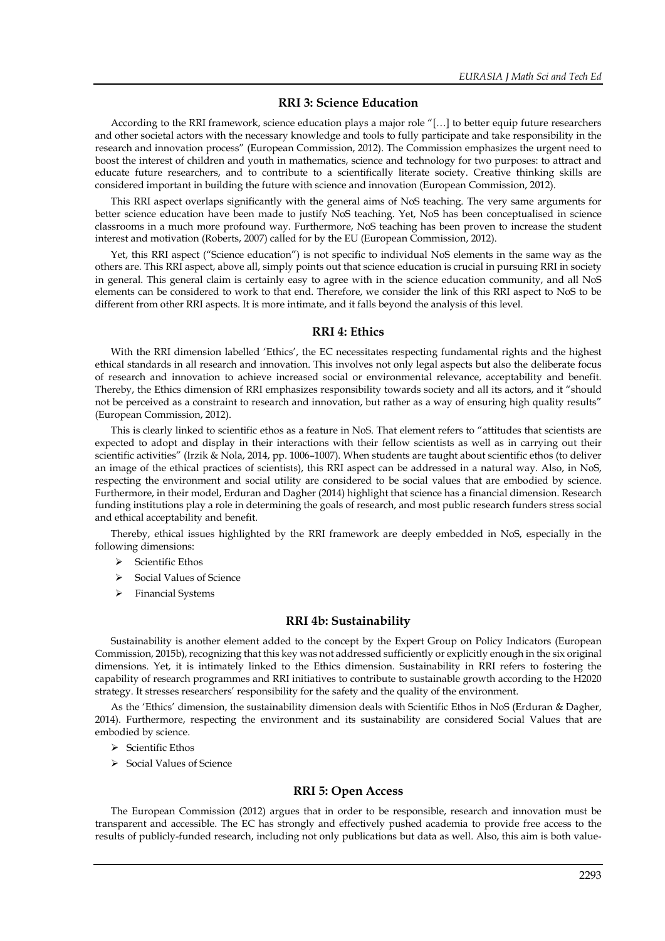## **RRI 3: Science Education**

According to the RRI framework, science education plays a major role "[…] to better equip future researchers and other societal actors with the necessary knowledge and tools to fully participate and take responsibility in the research and innovation process" (European Commission, 2012). The Commission emphasizes the urgent need to boost the interest of children and youth in mathematics, science and technology for two purposes: to attract and educate future researchers, and to contribute to a scientifically literate society. Creative thinking skills are considered important in building the future with science and innovation (European Commission, 2012).

This RRI aspect overlaps significantly with the general aims of NoS teaching. The very same arguments for better science education have been made to justify NoS teaching. Yet, NoS has been conceptualised in science classrooms in a much more profound way. Furthermore, NoS teaching has been proven to increase the student interest and motivation (Roberts, 2007) called for by the EU (European Commission, 2012).

Yet, this RRI aspect ("Science education") is not specific to individual NoS elements in the same way as the others are. This RRI aspect, above all, simply points out that science education is crucial in pursuing RRI in society in general. This general claim is certainly easy to agree with in the science education community, and all NoS elements can be considered to work to that end. Therefore, we consider the link of this RRI aspect to NoS to be different from other RRI aspects. It is more intimate, and it falls beyond the analysis of this level.

#### **RRI 4: Ethics**

With the RRI dimension labelled 'Ethics', the EC necessitates respecting fundamental rights and the highest ethical standards in all research and innovation. This involves not only legal aspects but also the deliberate focus of research and innovation to achieve increased social or environmental relevance, acceptability and benefit. Thereby, the Ethics dimension of RRI emphasizes responsibility towards society and all its actors, and it "should not be perceived as a constraint to research and innovation, but rather as a way of ensuring high quality results" (European Commission, 2012).

This is clearly linked to scientific ethos as a feature in NoS. That element refers to "attitudes that scientists are expected to adopt and display in their interactions with their fellow scientists as well as in carrying out their scientific activities" (Irzik & Nola, 2014, pp. 1006–1007). When students are taught about scientific ethos (to deliver an image of the ethical practices of scientists), this RRI aspect can be addressed in a natural way. Also, in NoS, respecting the environment and social utility are considered to be social values that are embodied by science. Furthermore, in their model, Erduran and Dagher (2014) highlight that science has a financial dimension. Research funding institutions play a role in determining the goals of research, and most public research funders stress social and ethical acceptability and benefit.

Thereby, ethical issues highlighted by the RRI framework are deeply embedded in NoS, especially in the following dimensions:

- $\triangleright$  Scientific Ethos
- $\triangleright$  Social Values of Science
- > Financial Systems

#### **RRI 4b: Sustainability**

Sustainability is another element added to the concept by the Expert Group on Policy Indicators (European Commission, 2015b), recognizing that this key was not addressed sufficiently or explicitly enough in the six original dimensions. Yet, it is intimately linked to the Ethics dimension. Sustainability in RRI refers to fostering the capability of research programmes and RRI initiatives to contribute to sustainable growth according to the H2020 strategy. It stresses researchers' responsibility for the safety and the quality of the environment.

As the 'Ethics' dimension, the sustainability dimension deals with Scientific Ethos in NoS (Erduran & Dagher, 2014). Furthermore, respecting the environment and its sustainability are considered Social Values that are embodied by science.

- $\triangleright$  Scientific Ethos
- > Social Values of Science

## **RRI 5: Open Access**

The European Commission (2012) argues that in order to be responsible, research and innovation must be transparent and accessible. The EC has strongly and effectively pushed academia to provide free access to the results of publicly-funded research, including not only publications but data as well. Also, this aim is both value-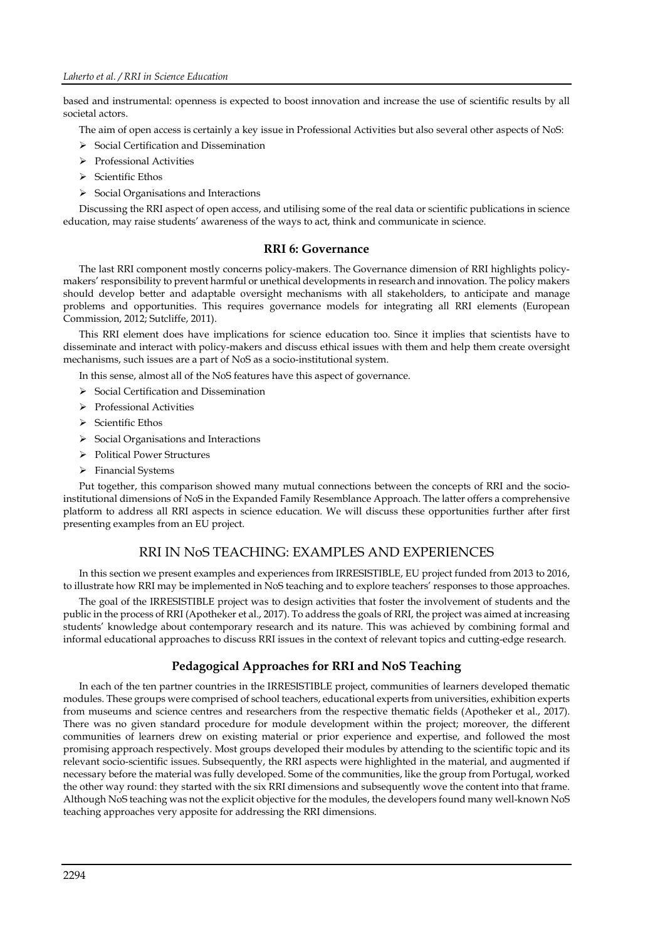based and instrumental: openness is expected to boost innovation and increase the use of scientific results by all societal actors.

The aim of open access is certainly a key issue in Professional Activities but also several other aspects of NoS:

- $\triangleright$  Social Certification and Dissemination
- Professional Activities
- $\triangleright$  Scientific Ethos
- $\triangleright$  Social Organisations and Interactions

Discussing the RRI aspect of open access, and utilising some of the real data or scientific publications in science education, may raise students' awareness of the ways to act, think and communicate in science.

## **RRI 6: Governance**

The last RRI component mostly concerns policy-makers. The Governance dimension of RRI highlights policymakers'responsibility to prevent harmful or unethical developments in research and innovation. The policy makers should develop better and adaptable oversight mechanisms with all stakeholders, to anticipate and manage problems and opportunities. This requires governance models for integrating all RRI elements (European Commission, 2012; Sutcliffe, 2011).

This RRI element does have implications for science education too. Since it implies that scientists have to disseminate and interact with policy-makers and discuss ethical issues with them and help them create oversight mechanisms, such issues are a part of NoS as a socio-institutional system.

In this sense, almost all of the NoS features have this aspect of governance.

- $\triangleright$  Social Certification and Dissemination
- > Professional Activities
- $\triangleright$  Scientific Ethos
- $\triangleright$  Social Organisations and Interactions
- > Political Power Structures
- $\triangleright$  Financial Systems

Put together, this comparison showed many mutual connections between the concepts of RRI and the socioinstitutional dimensions of NoS in the Expanded Family Resemblance Approach. The latter offers a comprehensive platform to address all RRI aspects in science education. We will discuss these opportunities further after first presenting examples from an EU project.

## RRI IN NoS TEACHING: EXAMPLES AND EXPERIENCES

In this section we present examples and experiences from IRRESISTIBLE, EU project funded from 2013 to 2016, to illustrate how RRI may be implemented in NoS teaching and to explore teachers' responses to those approaches.

The goal of the IRRESISTIBLE project was to design activities that foster the involvement of students and the public in the process of RRI (Apotheker et al., 2017). To address the goals of RRI, the project was aimed at increasing students' knowledge about contemporary research and its nature. This was achieved by combining formal and informal educational approaches to discuss RRI issues in the context of relevant topics and cutting-edge research.

## **Pedagogical Approaches for RRI and NoS Teaching**

In each of the ten partner countries in the IRRESISTIBLE project, communities of learners developed thematic modules. These groups were comprised of school teachers, educational experts from universities, exhibition experts from museums and science centres and researchers from the respective thematic fields (Apotheker et al., 2017). There was no given standard procedure for module development within the project; moreover, the different communities of learners drew on existing material or prior experience and expertise, and followed the most promising approach respectively. Most groups developed their modules by attending to the scientific topic and its relevant socio-scientific issues. Subsequently, the RRI aspects were highlighted in the material, and augmented if necessary before the material was fully developed. Some of the communities, like the group from Portugal, worked the other way round: they started with the six RRI dimensions and subsequently wove the content into that frame. Although NoS teaching was not the explicit objective for the modules, the developers found many well-known NoS teaching approaches very apposite for addressing the RRI dimensions.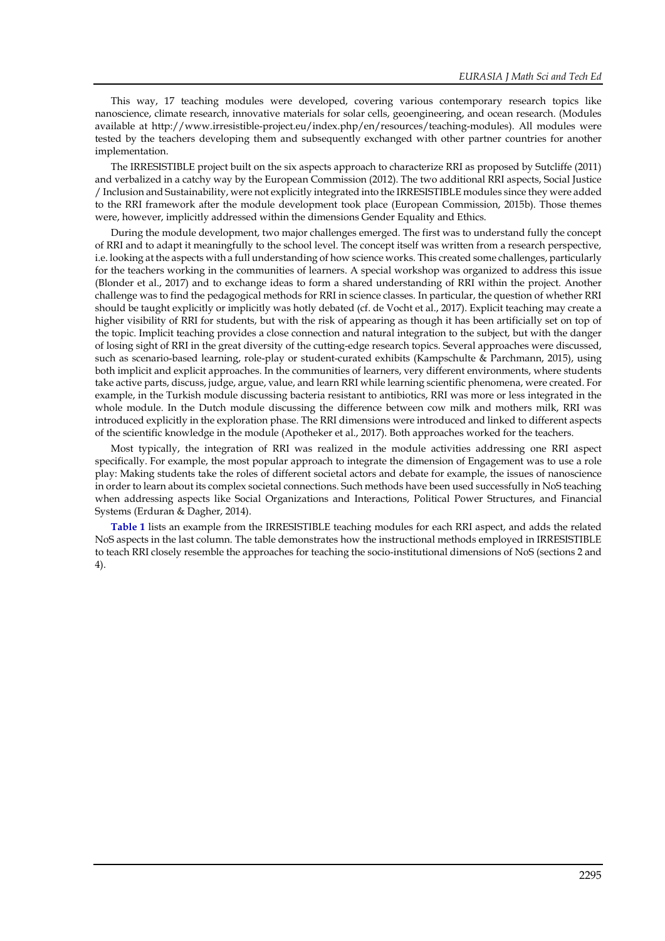This way, 17 teaching modules were developed, covering various contemporary research topics like nanoscience, climate research, innovative materials for solar cells, geoengineering, and ocean research. (Modules available at http://www.irresistible-project.eu/index.php/en/resources/teaching-modules). All modules were tested by the teachers developing them and subsequently exchanged with other partner countries for another implementation.

The IRRESISTIBLE project built on the six aspects approach to characterize RRI as proposed by Sutcliffe (2011) and verbalized in a catchy way by the European Commission (2012). The two additional RRI aspects, Social Justice / Inclusion and Sustainability, were not explicitly integrated into the IRRESISTIBLE modules since they were added to the RRI framework after the module development took place (European Commission, 2015b). Those themes were, however, implicitly addressed within the dimensions Gender Equality and Ethics.

During the module development, two major challenges emerged. The first was to understand fully the concept of RRI and to adapt it meaningfully to the school level. The concept itself was written from a research perspective, i.e. looking at the aspects with a full understanding of how science works. This created some challenges, particularly for the teachers working in the communities of learners. A special workshop was organized to address this issue (Blonder et al., 2017) and to exchange ideas to form a shared understanding of RRI within the project. Another challenge was to find the pedagogical methods for RRI in science classes. In particular, the question of whether RRI should be taught explicitly or implicitly was hotly debated (cf. de Vocht et al., 2017). Explicit teaching may create a higher visibility of RRI for students, but with the risk of appearing as though it has been artificially set on top of the topic. Implicit teaching provides a close connection and natural integration to the subject, but with the danger of losing sight of RRI in the great diversity of the cutting-edge research topics. Several approaches were discussed, such as scenario-based learning, role-play or student-curated exhibits (Kampschulte & Parchmann, 2015), using both implicit and explicit approaches. In the communities of learners, very different environments, where students take active parts, discuss, judge, argue, value, and learn RRI while learning scientific phenomena, were created. For example, in the Turkish module discussing bacteria resistant to antibiotics, RRI was more or less integrated in the whole module. In the Dutch module discussing the difference between cow milk and mothers milk, RRI was introduced explicitly in the exploration phase. The RRI dimensions were introduced and linked to different aspects of the scientific knowledge in the module (Apotheker et al., 2017). Both approaches worked for the teachers.

Most typically, the integration of RRI was realized in the module activities addressing one RRI aspect specifically. For example, the most popular approach to integrate the dimension of Engagement was to use a role play: Making students take the roles of different societal actors and debate for example, the issues of nanoscience in order to learn about its complex societal connections. Such methods have been used successfully in NoS teaching when addressing aspects like Social Organizations and Interactions, Political Power Structures, and Financial Systems (Erduran & Dagher, 2014).

**Table 1** lists an example from the IRRESISTIBLE teaching modules for each RRI aspect, and adds the related NoS aspects in the last column. The table demonstrates how the instructional methods employed in IRRESISTIBLE to teach RRI closely resemble the approaches for teaching the socio-institutional dimensions of NoS (sections 2 and 4).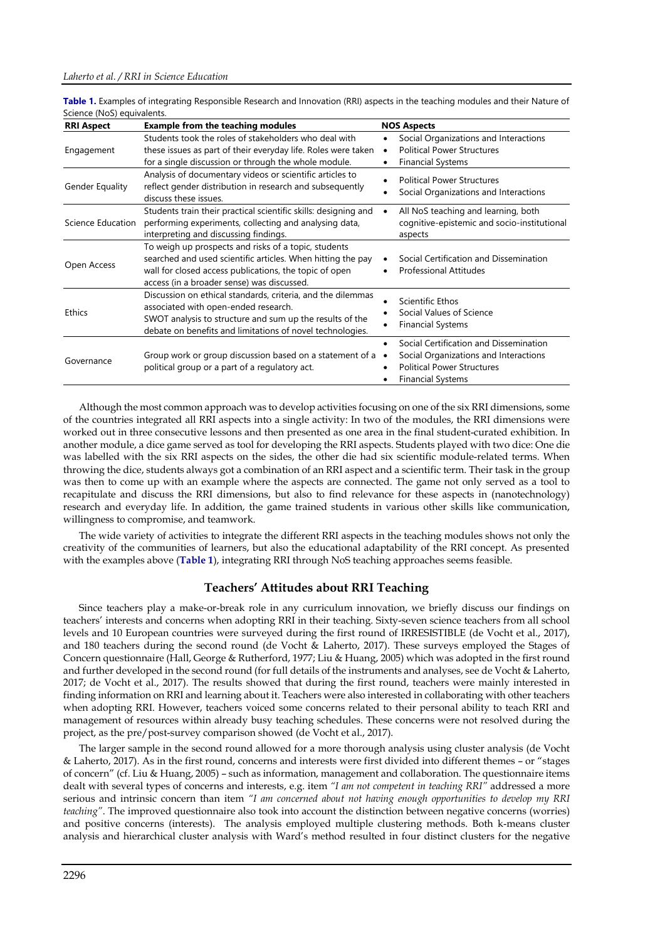**Table 1.** Examples of integrating Responsible Research and Innovation (RRI) aspects in the teaching modules and their Nature of Science (NoS) equivalents.

| <b>RRI Aspect</b> | <b>Example from the teaching modules</b>                                                                                                                                                                                     | <b>NOS Aspects</b>                                                                                                                                                         |
|-------------------|------------------------------------------------------------------------------------------------------------------------------------------------------------------------------------------------------------------------------|----------------------------------------------------------------------------------------------------------------------------------------------------------------------------|
| Engagement        | Students took the roles of stakeholders who deal with<br>these issues as part of their everyday life. Roles were taken<br>for a single discussion or through the whole module.                                               | Social Organizations and Interactions<br>$\bullet$<br><b>Political Power Structures</b><br>$\bullet$<br><b>Financial Systems</b>                                           |
| Gender Equality   | Analysis of documentary videos or scientific articles to<br>reflect gender distribution in research and subsequently<br>discuss these issues.                                                                                | <b>Political Power Structures</b><br>Social Organizations and Interactions                                                                                                 |
| Science Education | Students train their practical scientific skills: designing and<br>performing experiments, collecting and analysing data,<br>interpreting and discussing findings.                                                           | All NoS teaching and learning, both<br>$\bullet$<br>cognitive-epistemic and socio-institutional<br>aspects                                                                 |
| Open Access       | To weigh up prospects and risks of a topic, students<br>searched and used scientific articles. When hitting the pay<br>wall for closed access publications, the topic of open<br>access (in a broader sense) was discussed.  | Social Certification and Dissemination<br><b>Professional Attitudes</b>                                                                                                    |
| Ethics            | Discussion on ethical standards, criteria, and the dilemmas<br>associated with open-ended research.<br>SWOT analysis to structure and sum up the results of the<br>debate on benefits and limitations of novel technologies. | Scientific Ethos<br>Social Values of Science<br><b>Financial Systems</b>                                                                                                   |
| Governance        | Group work or group discussion based on a statement of a<br>political group or a part of a regulatory act.                                                                                                                   | Social Certification and Dissemination<br>$\bullet$<br>Social Organizations and Interactions<br>$\bullet$<br><b>Political Power Structures</b><br><b>Financial Systems</b> |

Although the most common approach was to develop activities focusing on one of the six RRI dimensions, some of the countries integrated all RRI aspects into a single activity: In two of the modules, the RRI dimensions were worked out in three consecutive lessons and then presented as one area in the final student-curated exhibition. In another module, a dice game served as tool for developing the RRI aspects. Students played with two dice: One die was labelled with the six RRI aspects on the sides, the other die had six scientific module-related terms. When throwing the dice, students always got a combination of an RRI aspect and a scientific term. Their task in the group was then to come up with an example where the aspects are connected. The game not only served as a tool to recapitulate and discuss the RRI dimensions, but also to find relevance for these aspects in (nanotechnology) research and everyday life. In addition, the game trained students in various other skills like communication, willingness to compromise, and teamwork.

The wide variety of activities to integrate the different RRI aspects in the teaching modules shows not only the creativity of the communities of learners, but also the educational adaptability of the RRI concept. As presented with the examples above (**Table 1**), integrating RRI through NoS teaching approaches seems feasible.

## **Teachers' Attitudes about RRI Teaching**

Since teachers play a make-or-break role in any curriculum innovation, we briefly discuss our findings on teachers' interests and concerns when adopting RRI in their teaching. Sixty-seven science teachers from all school levels and 10 European countries were surveyed during the first round of IRRESISTIBLE (de Vocht et al., 2017), and 180 teachers during the second round (de Vocht & Laherto, 2017). These surveys employed the Stages of Concern questionnaire (Hall, George & Rutherford, 1977; Liu & Huang, 2005) which was adopted in the first round and further developed in the second round (for full details of the instruments and analyses, see de Vocht & Laherto, 2017; de Vocht et al., 2017). The results showed that during the first round, teachers were mainly interested in finding information on RRI and learning about it. Teachers were also interested in collaborating with other teachers when adopting RRI. However, teachers voiced some concerns related to their personal ability to teach RRI and management of resources within already busy teaching schedules. These concerns were not resolved during the project, as the pre/post-survey comparison showed (de Vocht et al., 2017).

The larger sample in the second round allowed for a more thorough analysis using cluster analysis (de Vocht & Laherto, 2017). As in the first round, concerns and interests were first divided into different themes – or "stages of concern" (cf. Liu & Huang, 2005) – such as information, management and collaboration. The questionnaire items dealt with several types of concerns and interests, e.g. item *"I am not competent in teaching RRI"* addressed a more serious and intrinsic concern than item *"I am concerned about not having enough opportunities to develop my RRI teaching"*. The improved questionnaire also took into account the distinction between negative concerns (worries) and positive concerns (interests). The analysis employed multiple clustering methods. Both k-means cluster analysis and hierarchical cluster analysis with Ward's method resulted in four distinct clusters for the negative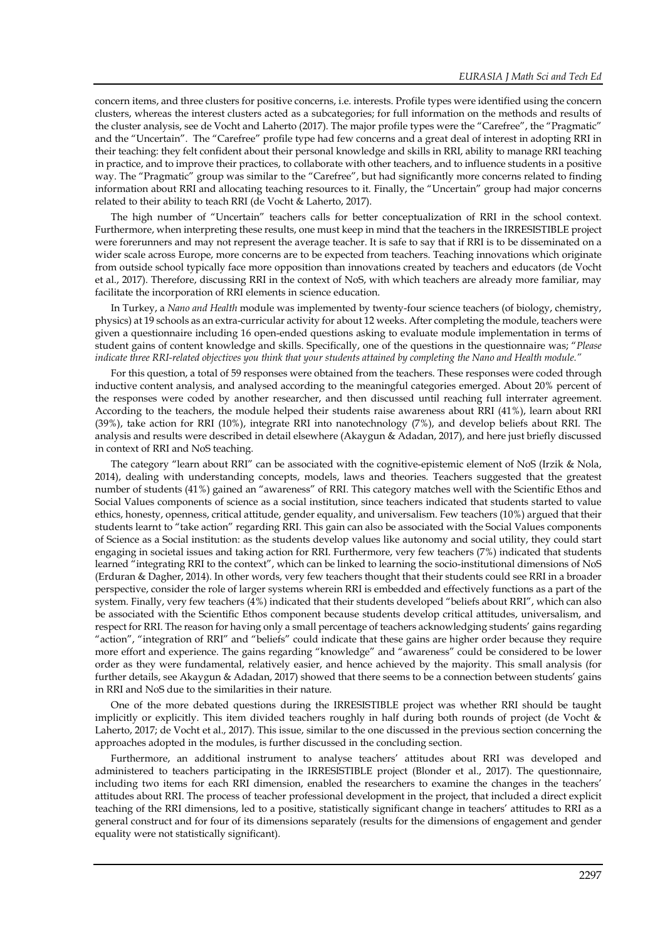concern items, and three clusters for positive concerns, i.e. interests. Profile types were identified using the concern clusters, whereas the interest clusters acted as a subcategories; for full information on the methods and results of the cluster analysis, see de Vocht and Laherto (2017). The major profile types were the "Carefree", the "Pragmatic" and the "Uncertain". The "Carefree" profile type had few concerns and a great deal of interest in adopting RRI in their teaching: they felt confident about their personal knowledge and skills in RRI, ability to manage RRI teaching in practice, and to improve their practices, to collaborate with other teachers, and to influence students in a positive way. The "Pragmatic" group was similar to the "Carefree", but had significantly more concerns related to finding information about RRI and allocating teaching resources to it. Finally, the "Uncertain" group had major concerns related to their ability to teach RRI (de Vocht & Laherto, 2017).

The high number of "Uncertain" teachers calls for better conceptualization of RRI in the school context. Furthermore, when interpreting these results, one must keep in mind that the teachers in the IRRESISTIBLE project were forerunners and may not represent the average teacher. It is safe to say that if RRI is to be disseminated on a wider scale across Europe, more concerns are to be expected from teachers. Teaching innovations which originate from outside school typically face more opposition than innovations created by teachers and educators (de Vocht et al., 2017). Therefore, discussing RRI in the context of NoS, with which teachers are already more familiar, may facilitate the incorporation of RRI elements in science education.

In Turkey, a *Nano and Health* module was implemented by twenty-four science teachers (of biology, chemistry, physics) at 19 schools as an extra-curricular activity for about 12 weeks. After completing the module, teachers were given a questionnaire including 16 open-ended questions asking to evaluate module implementation in terms of student gains of content knowledge and skills. Specifically, one of the questions in the questionnaire was; "*Please indicate three RRI-related objectives you think that your students attained by completing the Nano and Health module."*

For this question, a total of 59 responses were obtained from the teachers. These responses were coded through inductive content analysis, and analysed according to the meaningful categories emerged. About 20% percent of the responses were coded by another researcher, and then discussed until reaching full interrater agreement. According to the teachers, the module helped their students raise awareness about RRI (41%), learn about RRI (39%), take action for RRI (10%), integrate RRI into nanotechnology (7%), and develop beliefs about RRI. The analysis and results were described in detail elsewhere (Akaygun & Adadan, 2017), and here just briefly discussed in context of RRI and NoS teaching.

The category "learn about RRI" can be associated with the cognitive-epistemic element of NoS (Irzik & Nola, 2014), dealing with understanding concepts, models, laws and theories. Teachers suggested that the greatest number of students (41%) gained an "awareness" of RRI. This category matches well with the Scientific Ethos and Social Values components of science as a social institution, since teachers indicated that students started to value ethics, honesty, openness, critical attitude, gender equality, and universalism. Few teachers (10%) argued that their students learnt to "take action" regarding RRI. This gain can also be associated with the Social Values components of Science as a Social institution: as the students develop values like autonomy and social utility, they could start engaging in societal issues and taking action for RRI. Furthermore, very few teachers (7%) indicated that students learned "integrating RRI to the context", which can be linked to learning the socio-institutional dimensions of NoS (Erduran & Dagher, 2014). In other words, very few teachers thought that their students could see RRI in a broader perspective, consider the role of larger systems wherein RRI is embedded and effectively functions as a part of the system. Finally, very few teachers (4%) indicated that their students developed "beliefs about RRI", which can also be associated with the Scientific Ethos component because students develop critical attitudes, universalism, and respect for RRI. The reason for having only a small percentage of teachers acknowledging students' gains regarding "action", "integration of RRI" and "beliefs" could indicate that these gains are higher order because they require more effort and experience. The gains regarding "knowledge" and "awareness" could be considered to be lower order as they were fundamental, relatively easier, and hence achieved by the majority. This small analysis (for further details, see Akaygun & Adadan, 2017) showed that there seems to be a connection between students' gains in RRI and NoS due to the similarities in their nature.

One of the more debated questions during the IRRESISTIBLE project was whether RRI should be taught implicitly or explicitly. This item divided teachers roughly in half during both rounds of project (de Vocht & Laherto, 2017; de Vocht et al., 2017). This issue, similar to the one discussed in the previous section concerning the approaches adopted in the modules, is further discussed in the concluding section.

Furthermore, an additional instrument to analyse teachers' attitudes about RRI was developed and administered to teachers participating in the IRRESISTIBLE project (Blonder et al., 2017). The questionnaire, including two items for each RRI dimension, enabled the researchers to examine the changes in the teachers' attitudes about RRI. The process of teacher professional development in the project, that included a direct explicit teaching of the RRI dimensions, led to a positive, statistically significant change in teachers' attitudes to RRI as a general construct and for four of its dimensions separately (results for the dimensions of engagement and gender equality were not statistically significant).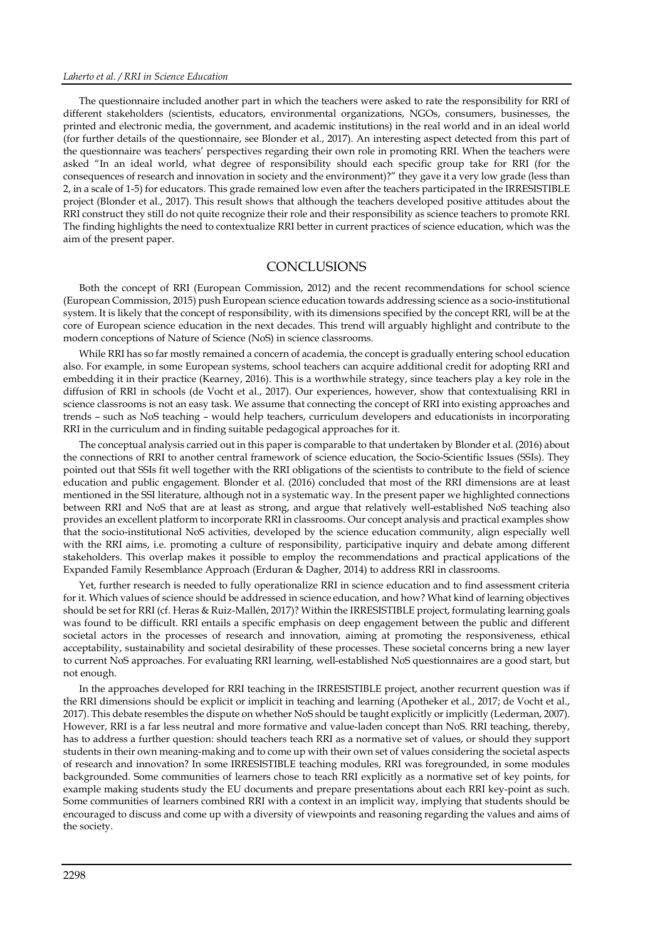The questionnaire included another part in which the teachers were asked to rate the responsibility for RRI of different stakeholders (scientists, educators, environmental organizations, NGOs, consumers, businesses, the printed and electronic media, the government, and academic institutions) in the real world and in an ideal world (for further details of the questionnaire, see Blonder et al., 2017). An interesting aspect detected from this part of the questionnaire was teachers' perspectives regarding their own role in promoting RRI. When the teachers were asked "In an ideal world, what degree of responsibility should each specific group take for RRI (for the consequences of research and innovation in society and the environment)?" they gave it a very low grade (less than 2, in a scale of 1-5) for educators. This grade remained low even after the teachers participated in the IRRESISTIBLE project (Blonder et al., 2017). This result shows that although the teachers developed positive attitudes about the RRI construct they still do not quite recognize their role and their responsibility as science teachers to promote RRI. The finding highlights the need to contextualize RRI better in current practices of science education, which was the aim of the present paper.

## **CONCLUSIONS**

Both the concept of RRI (European Commission, 2012) and the recent recommendations for school science (European Commission, 2015) push European science education towards addressing science as a socio-institutional system. It is likely that the concept of responsibility, with its dimensions specified by the concept RRI, will be at the core of European science education in the next decades. This trend will arguably highlight and contribute to the modern conceptions of Nature of Science (NoS) in science classrooms.

While RRI has so far mostly remained a concern of academia, the concept is gradually entering school education also. For example, in some European systems, school teachers can acquire additional credit for adopting RRI and embedding it in their practice (Kearney, 2016). This is a worthwhile strategy, since teachers play a key role in the diffusion of RRI in schools (de Vocht et al., 2017). Our experiences, however, show that contextualising RRI in science classrooms is not an easy task. We assume that connecting the concept of RRI into existing approaches and trends – such as NoS teaching – would help teachers, curriculum developers and educationists in incorporating RRI in the curriculum and in finding suitable pedagogical approaches for it.

The conceptual analysis carried out in this paper is comparable to that undertaken by Blonder et al. (2016) about the connections of RRI to another central framework of science education, the Socio-Scientific Issues (SSIs). They pointed out that SSIs fit well together with the RRI obligations of the scientists to contribute to the field of science education and public engagement. Blonder et al. (2016) concluded that most of the RRI dimensions are at least mentioned in the SSI literature, although not in a systematic way. In the present paper we highlighted connections between RRI and NoS that are at least as strong, and argue that relatively well-established NoS teaching also provides an excellent platform to incorporate RRI in classrooms. Our concept analysis and practical examples show that the socio-institutional NoS activities, developed by the science education community, align especially well with the RRI aims, i.e. promoting a culture of responsibility, participative inquiry and debate among different stakeholders. This overlap makes it possible to employ the recommendations and practical applications of the Expanded Family Resemblance Approach (Erduran & Dagher, 2014) to address RRI in classrooms.

Yet, further research is needed to fully operationalize RRI in science education and to find assessment criteria for it. Which values of science should be addressed in science education, and how? What kind of learning objectives should be set for RRI (cf. Heras & Ruiz-Mallén, 2017)? Within the IRRESISTIBLE project, formulating learning goals was found to be difficult. RRI entails a specific emphasis on deep engagement between the public and different societal actors in the processes of research and innovation, aiming at promoting the responsiveness, ethical acceptability, sustainability and societal desirability of these processes. These societal concerns bring a new layer to current NoS approaches. For evaluating RRI learning, well-established NoS questionnaires are a good start, but not enough.

In the approaches developed for RRI teaching in the IRRESISTIBLE project, another recurrent question was if the RRI dimensions should be explicit or implicit in teaching and learning (Apotheker et al., 2017; de Vocht et al., 2017). This debate resembles the dispute on whether NoS should be taught explicitly or implicitly (Lederman, 2007). However, RRI is a far less neutral and more formative and value-laden concept than NoS. RRI teaching, thereby, has to address a further question: should teachers teach RRI as a normative set of values, or should they support students in their own meaning-making and to come up with their own set of values considering the societal aspects of research and innovation? In some IRRESISTIBLE teaching modules, RRI was foregrounded, in some modules backgrounded. Some communities of learners chose to teach RRI explicitly as a normative set of key points, for example making students study the EU documents and prepare presentations about each RRI key-point as such. Some communities of learners combined RRI with a context in an implicit way, implying that students should be encouraged to discuss and come up with a diversity of viewpoints and reasoning regarding the values and aims of the society.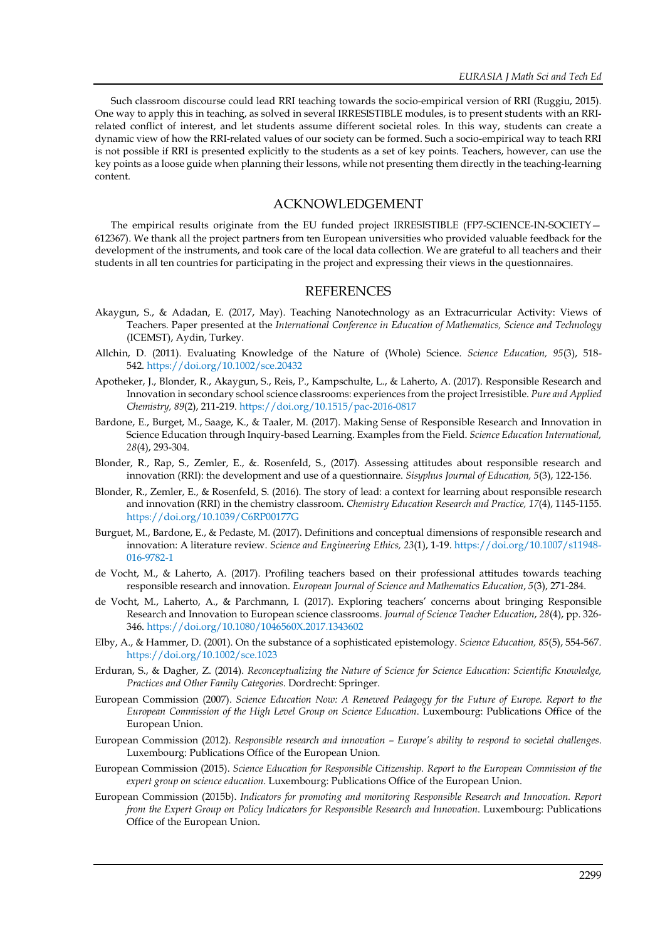Such classroom discourse could lead RRI teaching towards the socio-empirical version of RRI (Ruggiu, 2015). One way to apply this in teaching, as solved in several IRRESISTIBLE modules, is to present students with an RRIrelated conflict of interest, and let students assume different societal roles. In this way, students can create a dynamic view of how the RRI-related values of our society can be formed. Such a socio-empirical way to teach RRI is not possible if RRI is presented explicitly to the students as a set of key points. Teachers, however, can use the key points as a loose guide when planning their lessons, while not presenting them directly in the teaching-learning content.

## ACKNOWLEDGEMENT

The empirical results originate from the EU funded project IRRESISTIBLE (FP7-SCIENCE-IN-SOCIETY— 612367). We thank all the project partners from ten European universities who provided valuable feedback for the development of the instruments, and took care of the local data collection. We are grateful to all teachers and their students in all ten countries for participating in the project and expressing their views in the questionnaires.

## **REFERENCES**

- Akaygun, S., & Adadan, E. (2017, May). Teaching Nanotechnology as an Extracurricular Activity: Views of Teachers. Paper presented at the *International Conference in Education of Mathematics, Science and Technology* (ICEMST), Aydin, Turkey.
- Allchin, D. (2011). Evaluating Knowledge of the Nature of (Whole) Science. *Science Education, 95*(3), 518- 542. <https://doi.org/10.1002/sce.20432>
- Apotheker, J., Blonder, R., Akaygun, S., Reis, P., Kampschulte, L., & Laherto, A. (2017). Responsible Research and Innovation in secondary school science classrooms: experiences from the project Irresistible. *Pure and Applied Chemistry, 89*(2), 211-219. <https://doi.org/10.1515/pac-2016-0817>
- Bardone, E., Burget, M., Saage, K., & Taaler, M. (2017). Making Sense of Responsible Research and Innovation in Science Education through Inquiry-based Learning. Examples from the Field. *Science Education International, 28*(4), 293-304.
- Blonder, R., Rap, S., Zemler, E., &. Rosenfeld, S., (2017). Assessing attitudes about responsible research and innovation (RRI): the development and use of a questionnaire. *Sisyphus Journal of Education, 5*(3), 122-156.
- Blonder, R., Zemler, E., & Rosenfeld, S. (2016). The story of lead: a context for learning about responsible research and innovation (RRI) in the chemistry classroom. *Chemistry Education Research and Practice, 17*(4), 1145-1155. <https://doi.org/10.1039/C6RP00177G>
- Burguet, M., Bardone, E., & Pedaste, M. (2017). Definitions and conceptual dimensions of responsible research and innovation: A literature review. *Science and Engineering Ethics, 23*(1), 1-19. [https://doi.org/10.1007/s11948-](https://doi.org/10.1007/s11948-016-9782-1) [016-9782-1](https://doi.org/10.1007/s11948-016-9782-1)
- de Vocht, M., & Laherto, A. (2017). Profiling teachers based on their professional attitudes towards teaching responsible research and innovation. *European Journal of Science and Mathematics Education*, *5*(3), 271-284.
- de Vocht, M., Laherto, A., & Parchmann, I. (2017). Exploring teachers' concerns about bringing Responsible Research and Innovation to European science classrooms. *Journal of Science Teacher Education*, *28*(4), pp. 326- 346. <https://doi.org/10.1080/1046560X.2017.1343602>
- Elby, A., & Hammer, D. (2001). On the substance of a sophisticated epistemology. *Science Education, 85*(5), 554-567. <https://doi.org/10.1002/sce.1023>
- Erduran, S., & Dagher, Z. (2014). *Reconceptualizing the Nature of Science for Science Education: Scientific Knowledge, Practices and Other Family Categories*. Dordrecht: Springer.
- European Commission (2007). *Science Education Now: A Renewed Pedagogy for the Future of Europe. Report to the European Commission of the High Level Group on Science Education*. Luxembourg: Publications Office of the European Union.
- European Commission (2012). *Responsible research and innovation – Europe's ability to respond to societal challenges*. Luxembourg: Publications Office of the European Union.
- European Commission (2015). *Science Education for Responsible Citizenship. Report to the European Commission of the expert group on science education*. Luxembourg: Publications Office of the European Union.
- European Commission (2015b). *Indicators for promoting and monitoring Responsible Research and Innovation. Report from the Expert Group on Policy Indicators for Responsible Research and Innovation*. Luxembourg: Publications Office of the European Union.